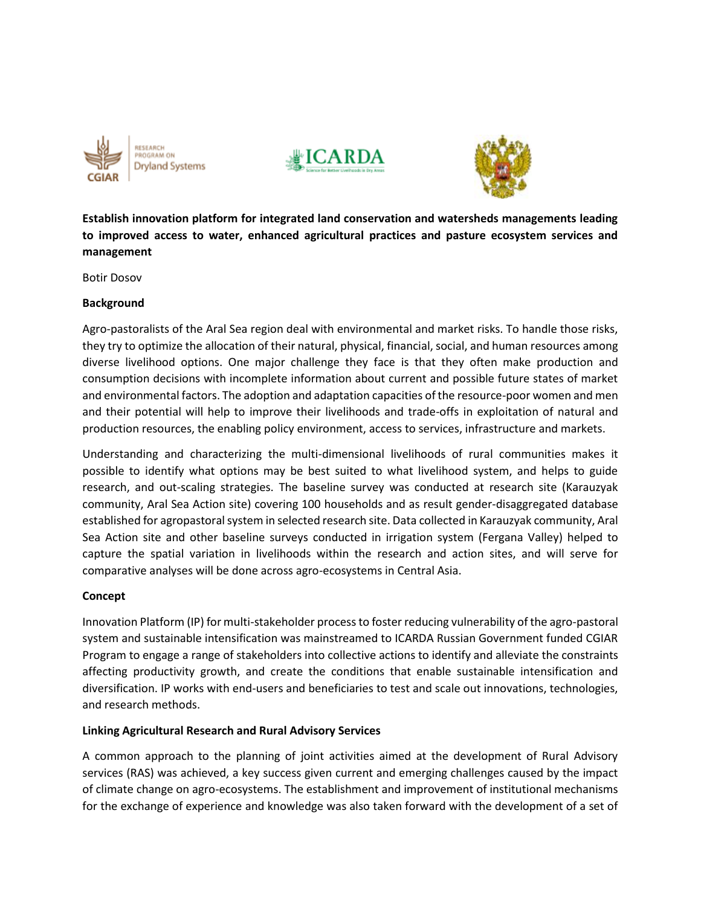





**Establish innovation platform for integrated land conservation and watersheds managements leading to improved access to water, enhanced agricultural practices and pasture ecosystem services and management**

Botir Dosov

### **Background**

Agro-pastoralists of the Aral Sea region deal with environmental and market risks. To handle those risks, they try to optimize the allocation of their natural, physical, financial, social, and human resources among diverse livelihood options. One major challenge they face is that they often make production and consumption decisions with incomplete information about current and possible future states of market and environmental factors. The adoption and adaptation capacities of the resource-poor women and men and their potential will help to improve their livelihoods and trade-offs in exploitation of natural and production resources, the enabling policy environment, access to services, infrastructure and markets.

Understanding and characterizing the multi-dimensional livelihoods of rural communities makes it possible to identify what options may be best suited to what livelihood system, and helps to guide research, and out-scaling strategies. The baseline survey was conducted at research site (Karauzyak community, Aral Sea Action site) covering 100 households and as result gender-disaggregated database established for agropastoral system in selected research site. Data collected in Karauzyak community, Aral Sea Action site and other baseline surveys conducted in irrigation system (Fergana Valley) helped to capture the spatial variation in livelihoods within the research and action sites, and will serve for comparative analyses will be done across agro-ecosystems in Central Asia.

### **Concept**

Innovation Platform (IP) for multi-stakeholder process to foster reducing vulnerability of the agro-pastoral system and sustainable intensification was mainstreamed to ICARDA Russian Government funded CGIAR Program to engage a range of stakeholders into collective actions to identify and alleviate the constraints affecting productivity growth, and create the conditions that enable sustainable intensification and diversification. IP works with end-users and beneficiaries to test and scale out innovations, technologies, and research methods.

# **Linking Agricultural Research and Rural Advisory Services**

A common approach to the planning of joint activities aimed at the development of Rural Advisory services (RAS) was achieved, a key success given current and emerging challenges caused by the impact of climate change on agro-ecosystems. The establishment and improvement of institutional mechanisms for the exchange of experience and knowledge was also taken forward with the development of a set of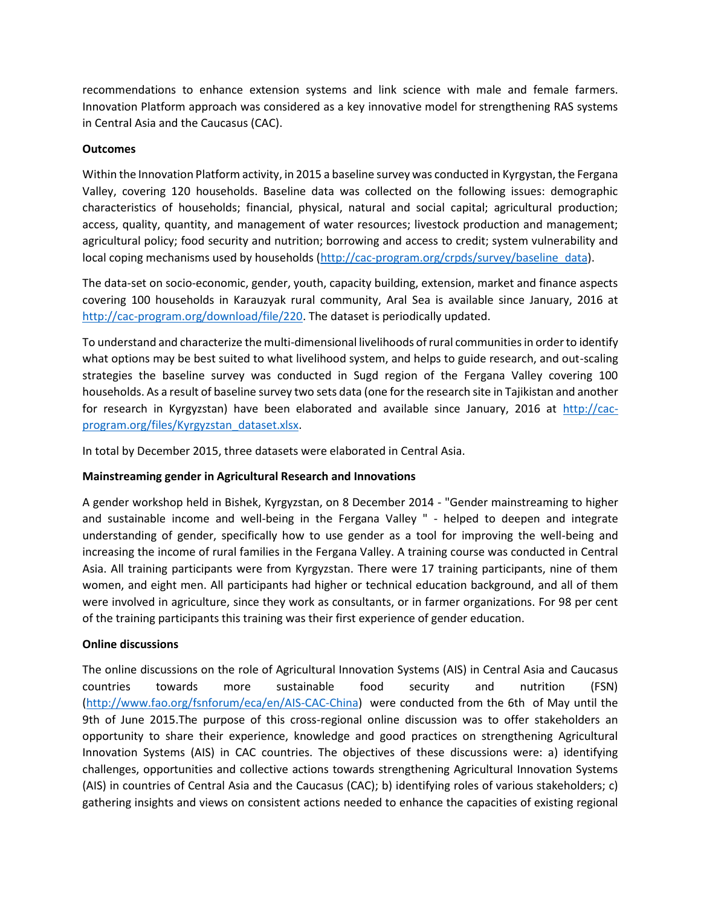recommendations to enhance extension systems and link science with male and female farmers. Innovation Platform approach was considered as a key innovative model for strengthening RAS systems in Central Asia and the Caucasus (CAC).

# **Outcomes**

Within the Innovation Platform activity, in 2015 a baseline survey was conducted in Kyrgystan, the Fergana Valley, covering 120 households. Baseline data was collected on the following issues: demographic characteristics of households; financial, physical, natural and social capital; agricultural production; access, quality, quantity, and management of water resources; livestock production and management; agricultural policy; food security and nutrition; borrowing and access to credit; system vulnerability and local coping mechanisms used by households [\(http://cac-program.org/crpds/survey/baseline\\_data\)](http://cac-program.org/crpds/survey/baseline_data).

The data-set on socio-economic, gender, youth, capacity building, extension, market and finance aspects covering 100 households in Karauzyak rural community, Aral Sea is available since January, 2016 at [http://cac-program.org/download/file/220.](http://cac-program.org/download/file/220) The dataset is periodically updated.

To understand and characterize the multi-dimensional livelihoods of rural communities in order to identify what options may be best suited to what livelihood system, and helps to guide research, and out-scaling strategies the baseline survey was conducted in Sugd region of the Fergana Valley covering 100 households. As a result of baseline survey two sets data (one for the research site in Tajikistan and another for research in Kyrgyzstan) have been elaborated and available since January, 2016 at [http://cac](http://cac-program.org/files/Kyrgyzstan_dataset.xlsx)[program.org/files/Kyrgyzstan\\_dataset.xlsx.](http://cac-program.org/files/Kyrgyzstan_dataset.xlsx)

In total by December 2015, three datasets were elaborated in Central Asia.

# **Mainstreaming gender in Agricultural Research and Innovations**

A gender workshop held in Bishek, Kyrgyzstan, on 8 December 2014 - "Gender mainstreaming to higher and sustainable income and well-being in the Fergana Valley " - helped to deepen and integrate understanding of gender, specifically how to use gender as a tool for improving the well-being and increasing the income of rural families in the Fergana Valley. A training course was conducted in Central Asia. All training participants were from Kyrgyzstan. There were 17 training participants, nine of them women, and eight men. All participants had higher or technical education background, and all of them were involved in agriculture, since they work as consultants, or in farmer organizations. For 98 per cent of the training participants this training was their first experience of gender education.

# **Online discussions**

The online discussions on the role of Agricultural Innovation Systems (AIS) in Central Asia and Caucasus countries towards more sustainable food security and nutrition (FSN) [\(http://www.fao.org/fsnforum/eca/en/AIS-CAC-China\)](http://www.fao.org/fsnforum/eca/en/AIS-CAC-China) were conducted from the 6th of May until the 9th of June 2015.The purpose of this cross-regional online discussion was to offer stakeholders an opportunity to share their experience, knowledge and good practices on strengthening Agricultural Innovation Systems (AIS) in CAC countries. The objectives of these discussions were: a) identifying challenges, opportunities and collective actions towards strengthening Agricultural Innovation Systems (AIS) in countries of Central Asia and the Caucasus (CAC); b) identifying roles of various stakeholders; c) gathering insights and views on consistent actions needed to enhance the capacities of existing regional